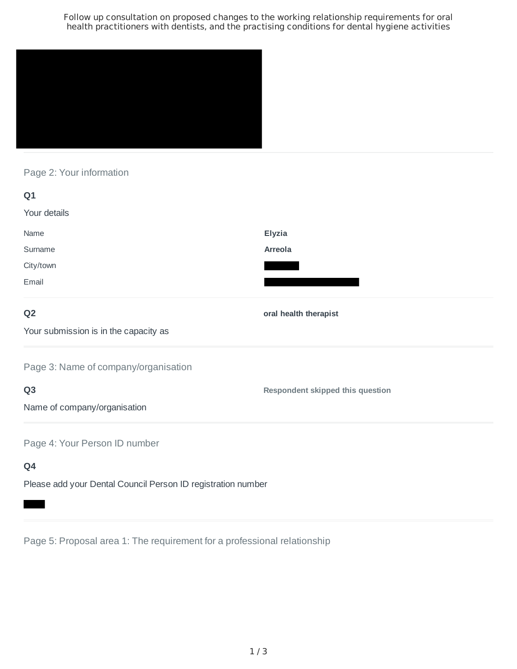Follow up consultation on proposed changes to the working relationship requirements for oral health practitioners with dentists, and the practising conditions for dental hygiene activities



#### Page 2: Your information

| Q <sub>1</sub>                        |                                  |
|---------------------------------------|----------------------------------|
| Your details                          |                                  |
| Name                                  | <b>Elyzia</b>                    |
| Surname                               | Arreola                          |
| City/town                             |                                  |
| Email                                 |                                  |
| Q <sub>2</sub>                        | oral health therapist            |
| Your submission is in the capacity as |                                  |
| Page 3: Name of company/organisation  |                                  |
| Q <sub>3</sub>                        | Respondent skipped this question |
| Name of company/organisation          |                                  |
| Page 4: Your Person ID number         |                                  |
| Q4                                    |                                  |
|                                       |                                  |

Please add your Dental Council Person ID registration number

Page 5: Proposal area 1: The requirement for a professional relationship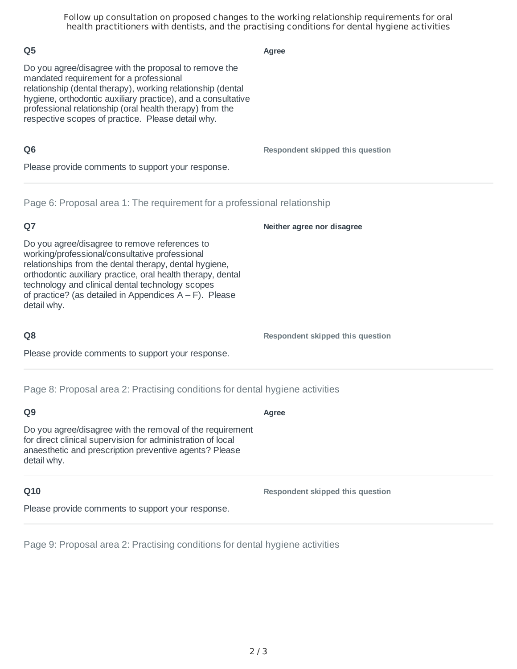Follow up consultation on proposed changes to the working relationship requirements for oral health practitioners with dentists, and the practising conditions for dental hygiene activities

**Agree**

Do you agree/disagree with the proposal to remove the mandated requirement for a professional relationship (dental therapy), working relationship (dental hygiene, orthodontic auxiliary practice), and a consultative professional relationship (oral health therapy) from the respective scopes of practice. Please detail why.

#### **Q6**

**Q5**

**Respondent skipped this question**

**Neither agree nor disagree**

Please provide comments to support your response.

Page 6: Proposal area 1: The requirement for a professional relationship

#### **Q7**

Do you agree/disagree to remove references to working/professional/consultative professional relationships from the dental therapy, dental hygiene, orthodontic auxiliary practice, oral health therapy, dental technology and clinical dental technology scopes of practice? (as detailed in Appendices A – F). Please detail why.

#### **Q8**

Please provide comments to support your response.

Page 8: Proposal area 2: Practising conditions for dental hygiene activities

#### **Q9**

Do you agree/disagree with the removal of the requirement for direct clinical supervision for administration of local anaesthetic and prescription preventive agents? Please detail why.

#### **Q10**

Please provide comments to support your response.

Page 9: Proposal area 2: Practising conditions for dental hygiene activities

# **Respondent skipped this question**

**Respondent skipped this question**

## **Agree**